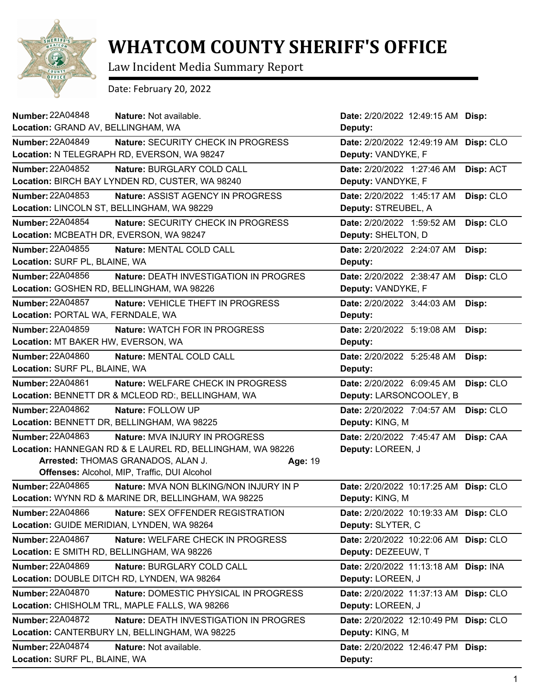

## **WHATCOM COUNTY SHERIFF'S OFFICE**

Law Incident Media Summary Report

Date: February 20, 2022

| <b>Number: 22A04848</b><br>Nature: Not available.                        | Date: 2/20/2022 12:49:15 AM Disp:     |           |
|--------------------------------------------------------------------------|---------------------------------------|-----------|
| Location: GRAND AV, BELLINGHAM, WA                                       | Deputy:                               |           |
| <b>Number: 22A04849</b><br>Nature: SECURITY CHECK IN PROGRESS            | Date: 2/20/2022 12:49:19 AM Disp: CLO |           |
| Location: N TELEGRAPH RD, EVERSON, WA 98247                              | Deputy: VANDYKE, F                    |           |
| <b>Number: 22A04852</b><br>Nature: BURGLARY COLD CALL                    | Date: 2/20/2022 1:27:46 AM            | Disp: ACT |
| Location: BIRCH BAY LYNDEN RD, CUSTER, WA 98240                          | Deputy: VANDYKE, F                    |           |
| Number: 22A04853<br>Nature: ASSIST AGENCY IN PROGRESS                    | Date: 2/20/2022 1:45:17 AM            | Disp: CLO |
| Location: LINCOLN ST, BELLINGHAM, WA 98229                               | Deputy: STREUBEL, A                   |           |
| <b>Number: 22A04854</b><br>Nature: SECURITY CHECK IN PROGRESS            | Date: 2/20/2022 1:59:52 AM            | Disp: CLO |
| Location: MCBEATH DR, EVERSON, WA 98247                                  | Deputy: SHELTON, D                    |           |
| <b>Number: 22A04855</b><br>Nature: MENTAL COLD CALL                      | Date: 2/20/2022 2:24:07 AM            | Disp:     |
| Location: SURF PL, BLAINE, WA                                            | Deputy:                               |           |
| Number: 22A04856<br><b>Nature: DEATH INVESTIGATION IN PROGRES</b>        | Date: 2/20/2022 2:38:47 AM            | Disp: CLO |
| Location: GOSHEN RD, BELLINGHAM, WA 98226                                | Deputy: VANDYKE, F                    |           |
| <b>Number: 22A04857</b><br>Nature: VEHICLE THEFT IN PROGRESS             | Date: 2/20/2022 3:44:03 AM            | Disp:     |
| Location: PORTAL WA, FERNDALE, WA                                        | Deputy:                               |           |
| <b>Number: 22A04859</b><br><b>Nature: WATCH FOR IN PROGRESS</b>          | Date: 2/20/2022 5:19:08 AM            | Disp:     |
| Location: MT BAKER HW, EVERSON, WA                                       | Deputy:                               |           |
| <b>Number: 22A04860</b><br>Nature: MENTAL COLD CALL                      | Date: 2/20/2022 5:25:48 AM            | Disp:     |
| Location: SURF PL, BLAINE, WA                                            | Deputy:                               |           |
| Number: 22A04861<br>Nature: WELFARE CHECK IN PROGRESS                    | Date: 2/20/2022 6:09:45 AM            | Disp: CLO |
| Location: BENNETT DR & MCLEOD RD:, BELLINGHAM, WA                        | Deputy: LARSONCOOLEY, B               |           |
| Number: 22A04862<br>Nature: FOLLOW UP                                    | Date: 2/20/2022 7:04:57 AM            | Disp: CLO |
| Location: BENNETT DR, BELLINGHAM, WA 98225                               | Deputy: KING, M                       |           |
| <b>Number: 22A04863</b><br><b>Nature: MVA INJURY IN PROGRESS</b>         | Date: 2/20/2022 7:45:47 AM            | Disp: CAA |
| Location: HANNEGAN RD & E LAUREL RD, BELLINGHAM, WA 98226                | Deputy: LOREEN, J                     |           |
| Arrested: THOMAS GRANADOS, ALAN J.<br>Age: 19                            |                                       |           |
| Offenses: Alcohol, MIP, Traffic, DUI Alcohol                             |                                       |           |
| Number: 22A04865<br>Nature: MVA NON BLKING/NON INJURY IN P               | Date: 2/20/2022 10:17:25 AM Disp: CLO |           |
| Location: WYNN RD & MARINE DR, BELLINGHAM, WA 98225                      | Deputy: KING, M                       |           |
| <b>Number: 22A04866</b><br>Nature: SEX OFFENDER REGISTRATION             | Date: 2/20/2022 10:19:33 AM Disp: CLO |           |
| Location: GUIDE MERIDIAN, LYNDEN, WA 98264                               | Deputy: SLYTER, C                     |           |
| Number: 22A04867<br>Nature: WELFARE CHECK IN PROGRESS                    | Date: 2/20/2022 10:22:06 AM Disp: CLO |           |
| Location: E SMITH RD, BELLINGHAM, WA 98226                               | Deputy: DEZEEUW, T                    |           |
| <b>Number: 22A04869</b><br>Nature: BURGLARY COLD CALL                    | Date: 2/20/2022 11:13:18 AM Disp: INA |           |
| Location: DOUBLE DITCH RD, LYNDEN, WA 98264                              | Deputy: LOREEN, J                     |           |
| Number: 22A04870<br>Nature: DOMESTIC PHYSICAL IN PROGRESS                | Date: 2/20/2022 11:37:13 AM Disp: CLO |           |
| Location: CHISHOLM TRL, MAPLE FALLS, WA 98266                            | Deputy: LOREEN, J                     |           |
| <b>Number: 22A04872</b><br><b>Nature: DEATH INVESTIGATION IN PROGRES</b> | Date: 2/20/2022 12:10:49 PM Disp: CLO |           |
| Location: CANTERBURY LN, BELLINGHAM, WA 98225                            | Deputy: KING, M                       |           |
| Number: 22A04874<br>Nature: Not available.                               | Date: 2/20/2022 12:46:47 PM Disp:     |           |
| Location: SURF PL, BLAINE, WA                                            | Deputy:                               |           |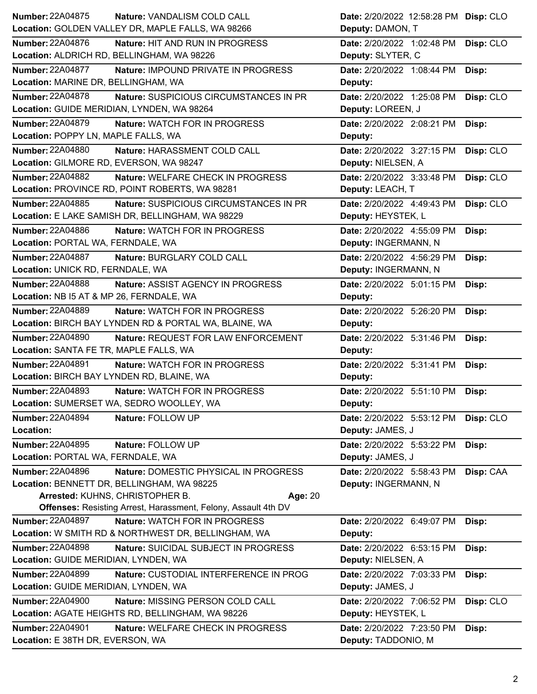| <b>Number: 22A04875</b>                               | Nature: VANDALISM COLD CALL                                           | Date: 2/20/2022 12:58:28 PM Disp: CLO |           |
|-------------------------------------------------------|-----------------------------------------------------------------------|---------------------------------------|-----------|
| Location: GOLDEN VALLEY DR, MAPLE FALLS, WA 98266     |                                                                       | Deputy: DAMON, T                      |           |
| <b>Number: 22A04876</b>                               | <b>Nature: HIT AND RUN IN PROGRESS</b>                                | Date: 2/20/2022 1:02:48 PM            | Disp: CLO |
| Location: ALDRICH RD, BELLINGHAM, WA 98226            |                                                                       | Deputy: SLYTER, C                     |           |
| <b>Number: 22A04877</b>                               | Nature: IMPOUND PRIVATE IN PROGRESS                                   | Date: 2/20/2022 1:08:44 PM            | Disp:     |
| Location: MARINE DR, BELLINGHAM, WA                   |                                                                       | Deputy:                               |           |
| <b>Number: 22A04878</b>                               | Nature: SUSPICIOUS CIRCUMSTANCES IN PR                                | Date: 2/20/2022 1:25:08 PM            | Disp: CLO |
| Location: GUIDE MERIDIAN, LYNDEN, WA 98264            |                                                                       | Deputy: LOREEN, J                     |           |
| Number: 22A04879                                      | Nature: WATCH FOR IN PROGRESS                                         | Date: 2/20/2022 2:08:21 PM            | Disp:     |
| Location: POPPY LN, MAPLE FALLS, WA                   |                                                                       | Deputy:                               |           |
| <b>Number: 22A04880</b>                               | Nature: HARASSMENT COLD CALL                                          | Date: 2/20/2022 3:27:15 PM            | Disp: CLO |
| Location: GILMORE RD, EVERSON, WA 98247               |                                                                       | Deputy: NIELSEN, A                    |           |
| <b>Number: 22A04882</b>                               | Nature: WELFARE CHECK IN PROGRESS                                     | Date: 2/20/2022 3:33:48 PM            | Disp: CLO |
| Location: PROVINCE RD, POINT ROBERTS, WA 98281        |                                                                       | Deputy: LEACH, T                      |           |
| Number: 22A04885                                      | Nature: SUSPICIOUS CIRCUMSTANCES IN PR                                | Date: 2/20/2022 4:49:43 PM            | Disp: CLO |
| Location: E LAKE SAMISH DR, BELLINGHAM, WA 98229      |                                                                       | Deputy: HEYSTEK, L                    |           |
| <b>Number: 22A04886</b>                               | Nature: WATCH FOR IN PROGRESS                                         | Date: 2/20/2022 4:55:09 PM            | Disp:     |
| Location: PORTAL WA, FERNDALE, WA                     |                                                                       | Deputy: INGERMANN, N                  |           |
| <b>Number: 22A04887</b>                               | Nature: BURGLARY COLD CALL                                            | Date: 2/20/2022 4:56:29 PM            | Disp:     |
| Location: UNICK RD, FERNDALE, WA                      |                                                                       | Deputy: INGERMANN, N                  |           |
| <b>Number: 22A04888</b>                               | Nature: ASSIST AGENCY IN PROGRESS                                     | Date: 2/20/2022 5:01:15 PM            | Disp:     |
| Location: NB I5 AT & MP 26, FERNDALE, WA              |                                                                       | Deputy:                               |           |
| Number: 22A04889                                      | <b>Nature: WATCH FOR IN PROGRESS</b>                                  | Date: 2/20/2022 5:26:20 PM            | Disp:     |
| Location: BIRCH BAY LYNDEN RD & PORTAL WA, BLAINE, WA |                                                                       | Deputy:                               |           |
| <b>Number: 22A04890</b>                               | Nature: REQUEST FOR LAW ENFORCEMENT                                   | Date: 2/20/2022 5:31:46 PM            | Disp:     |
| Location: SANTA FE TR, MAPLE FALLS, WA                |                                                                       | Deputy:                               |           |
|                                                       |                                                                       |                                       |           |
| <b>Number: 22A04891</b>                               | <b>Nature: WATCH FOR IN PROGRESS</b>                                  | Date: 2/20/2022 5:31:41 PM            | Disp:     |
| Location: BIRCH BAY LYNDEN RD, BLAINE, WA             |                                                                       | Deputy:                               |           |
| Number: 22A04893                                      | <b>Nature: WATCH FOR IN PROGRESS</b>                                  | Date: 2/20/2022 5:51:10 PM Disp:      |           |
| Location: SUMERSET WA, SEDRO WOOLLEY, WA              |                                                                       | Deputy:                               |           |
| <b>Number: 22A04894</b><br>Nature: FOLLOW UP          |                                                                       | Date: 2/20/2022 5:53:12 PM            | Disp: CLO |
| Location:                                             |                                                                       | Deputy: JAMES, J                      |           |
| Number: 22A04895<br>Nature: FOLLOW UP                 |                                                                       | Date: 2/20/2022 5:53:22 PM            | Disp:     |
| Location: PORTAL WA, FERNDALE, WA                     |                                                                       | Deputy: JAMES, J                      |           |
| <b>Number: 22A04896</b>                               | Nature: DOMESTIC PHYSICAL IN PROGRESS                                 | Date: 2/20/2022 5:58:43 PM            | Disp: CAA |
| Location: BENNETT DR, BELLINGHAM, WA 98225            |                                                                       | Deputy: INGERMANN, N                  |           |
| Arrested: KUHNS, CHRISTOPHER B.                       | Age: 20                                                               |                                       |           |
|                                                       | <b>Offenses: Resisting Arrest, Harassment, Felony, Assault 4th DV</b> |                                       |           |
| Number: 22A04897                                      | Nature: WATCH FOR IN PROGRESS                                         | Date: 2/20/2022 6:49:07 PM            | Disp:     |
| Location: W SMITH RD & NORTHWEST DR, BELLINGHAM, WA   |                                                                       | Deputy:                               |           |
| <b>Number: 22A04898</b>                               | Nature: SUICIDAL SUBJECT IN PROGRESS                                  | Date: 2/20/2022 6:53:15 PM            | Disp:     |
| Location: GUIDE MERIDIAN, LYNDEN, WA                  |                                                                       | Deputy: NIELSEN, A                    |           |
| <b>Number: 22A04899</b>                               | Nature: CUSTODIAL INTERFERENCE IN PROG                                | Date: 2/20/2022 7:03:33 PM            | Disp:     |
| Location: GUIDE MERIDIAN, LYNDEN, WA                  |                                                                       | Deputy: JAMES, J                      |           |
| <b>Number: 22A04900</b>                               | Nature: MISSING PERSON COLD CALL                                      | Date: 2/20/2022 7:06:52 PM            | Disp: CLO |
| Location: AGATE HEIGHTS RD, BELLINGHAM, WA 98226      |                                                                       | Deputy: HEYSTEK, L                    |           |
| <b>Number: 22A04901</b>                               | Nature: WELFARE CHECK IN PROGRESS                                     | Date: 2/20/2022 7:23:50 PM            | Disp:     |